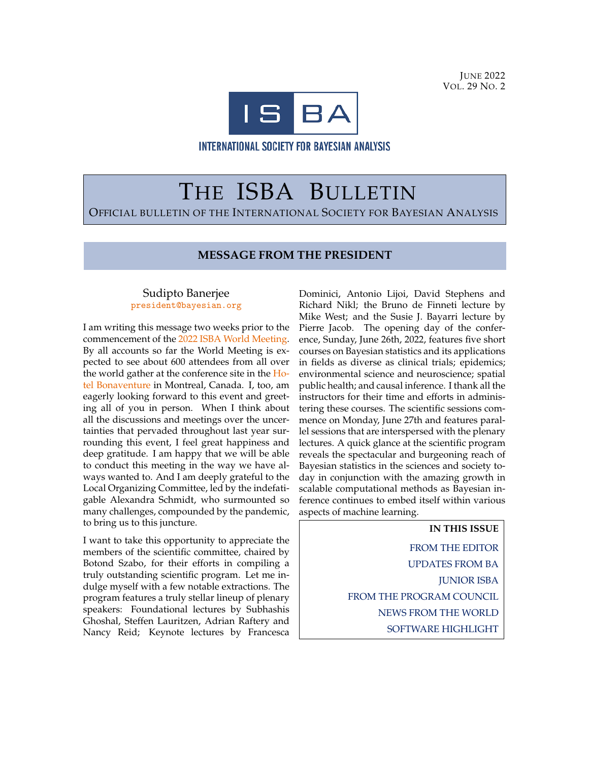**JUNE 2022** VOL. 29 NO. 2



INTERNATIONAL SOCIETY FOR BAYESIAN ANALYSIS

# THE ISBA BULLETIN OFFICIAL BULLETIN OF THE INTERNATIONAL SOCIETY FOR BAYESIAN ANALYSIS

#### **MESSAGE FROM THE PRESIDENT**

#### Sudipto Banerjee [president@bayesian.org](mailto:mail)

I am writing this message two weeks prior to the commencement of the [2022 ISBA World Meeting.](https://isbawebmaster.github.io/ISBA2022/) By all accounts so far the World Meeting is expected to see about 600 attendees from all over the world gather at the conference site in the [Ho](https://hotelbonaventure.com/en/)[tel Bonaventure](https://hotelbonaventure.com/en/) in Montreal, Canada. I, too, am eagerly looking forward to this event and greeting all of you in person. When I think about all the discussions and meetings over the uncertainties that pervaded throughout last year surrounding this event, I feel great happiness and deep gratitude. I am happy that we will be able to conduct this meeting in the way we have always wanted to. And I am deeply grateful to the Local Organizing Committee, led by the indefatigable Alexandra Schmidt, who surmounted so many challenges, compounded by the pandemic, to bring us to this juncture.

I want to take this opportunity to appreciate the members of the scientific committee, chaired by Botond Szabo, for their efforts in compiling a truly outstanding scientific program. Let me indulge myself with a few notable extractions. The program features a truly stellar lineup of plenary speakers: Foundational lectures by Subhashis Ghoshal, Steffen Lauritzen, Adrian Raftery and Nancy Reid; Keynote lectures by Francesca

Dominici, Antonio Lijoi, David Stephens and Richard Nikl; the Bruno de Finneti lecture by Mike West; and the Susie J. Bayarri lecture by Pierre Jacob. The opening day of the conference, Sunday, June 26th, 2022, features five short courses on Bayesian statistics and its applications in fields as diverse as clinical trials; epidemics; environmental science and neuroscience; spatial public health; and causal inference. I thank all the instructors for their time and efforts in administering these courses. The scientific sessions commence on Monday, June 27th and features parallel sessions that are interspersed with the plenary lectures. A quick glance at the scientific program reveals the spectacular and burgeoning reach of Bayesian statistics in the sciences and society today in conjunction with the amazing growth in scalable computational methods as Bayesian inference continues to embed itself within various aspects of machine learning.

> **IN THIS ISSUE** [FROM THE EDITOR](#page-1-0) [UPDATES FROM BA](#page-2-0) [JUNIOR ISBA](#page-3-0) [FROM THE PROGRAM COUNCIL](#page-5-0) [NEWS FROM THE WORLD](#page-5-1) [SOFTWARE HIGHLIGHT](#page-7-0)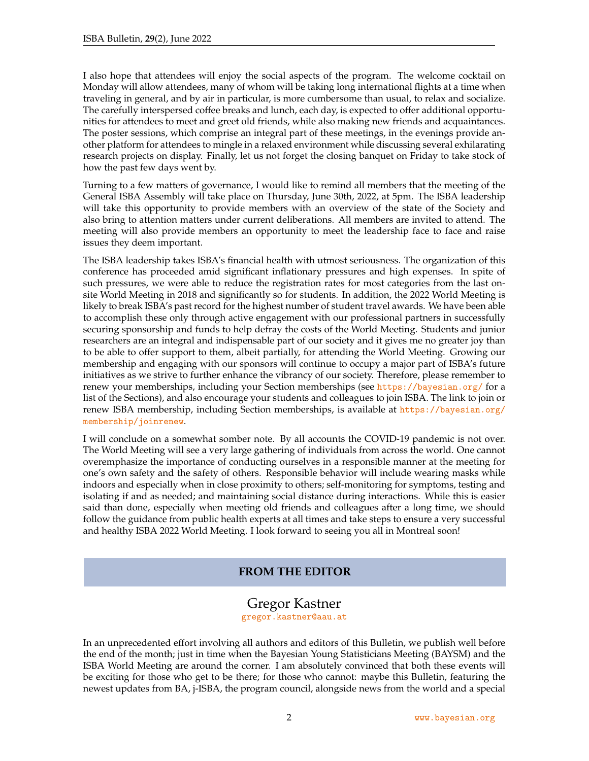I also hope that attendees will enjoy the social aspects of the program. The welcome cocktail on Monday will allow attendees, many of whom will be taking long international flights at a time when traveling in general, and by air in particular, is more cumbersome than usual, to relax and socialize. The carefully interspersed coffee breaks and lunch, each day, is expected to offer additional opportunities for attendees to meet and greet old friends, while also making new friends and acquaintances. The poster sessions, which comprise an integral part of these meetings, in the evenings provide another platform for attendees to mingle in a relaxed environment while discussing several exhilarating research projects on display. Finally, let us not forget the closing banquet on Friday to take stock of how the past few days went by.

Turning to a few matters of governance, I would like to remind all members that the meeting of the General ISBA Assembly will take place on Thursday, June 30th, 2022, at 5pm. The ISBA leadership will take this opportunity to provide members with an overview of the state of the Society and also bring to attention matters under current deliberations. All members are invited to attend. The meeting will also provide members an opportunity to meet the leadership face to face and raise issues they deem important.

The ISBA leadership takes ISBA's financial health with utmost seriousness. The organization of this conference has proceeded amid significant inflationary pressures and high expenses. In spite of such pressures, we were able to reduce the registration rates for most categories from the last onsite World Meeting in 2018 and significantly so for students. In addition, the 2022 World Meeting is likely to break ISBA's past record for the highest number of student travel awards. We have been able to accomplish these only through active engagement with our professional partners in successfully securing sponsorship and funds to help defray the costs of the World Meeting. Students and junior researchers are an integral and indispensable part of our society and it gives me no greater joy than to be able to offer support to them, albeit partially, for attending the World Meeting. Growing our membership and engaging with our sponsors will continue to occupy a major part of ISBA's future initiatives as we strive to further enhance the vibrancy of our society. Therefore, please remember to renew your memberships, including your Section memberships (see <https://bayesian.org/> for a list of the Sections), and also encourage your students and colleagues to join ISBA. The link to join or renew ISBA membership, including Section memberships, is available at [https://bayesian.org/](https://bayesian.org/membership/joinrenew) [membership/joinrenew](https://bayesian.org/membership/joinrenew).

I will conclude on a somewhat somber note. By all accounts the COVID-19 pandemic is not over. The World Meeting will see a very large gathering of individuals from across the world. One cannot overemphasize the importance of conducting ourselves in a responsible manner at the meeting for one's own safety and the safety of others. Responsible behavior will include wearing masks while indoors and especially when in close proximity to others; self-monitoring for symptoms, testing and isolating if and as needed; and maintaining social distance during interactions. While this is easier said than done, especially when meeting old friends and colleagues after a long time, we should follow the guidance from public health experts at all times and take steps to ensure a very successful and healthy ISBA 2022 World Meeting. I look forward to seeing you all in Montreal soon!

#### **FROM THE EDITOR**

#### Gregor Kastner

[gregor.kastner@aau.at](mailto:gregor.kastner@aau.at)

<span id="page-1-0"></span>In an unprecedented effort involving all authors and editors of this Bulletin, we publish well before the end of the month; just in time when the Bayesian Young Statisticians Meeting (BAYSM) and the ISBA World Meeting are around the corner. I am absolutely convinced that both these events will be exciting for those who get to be there; for those who cannot: maybe this Bulletin, featuring the newest updates from BA, j-ISBA, the program council, alongside news from the world and a special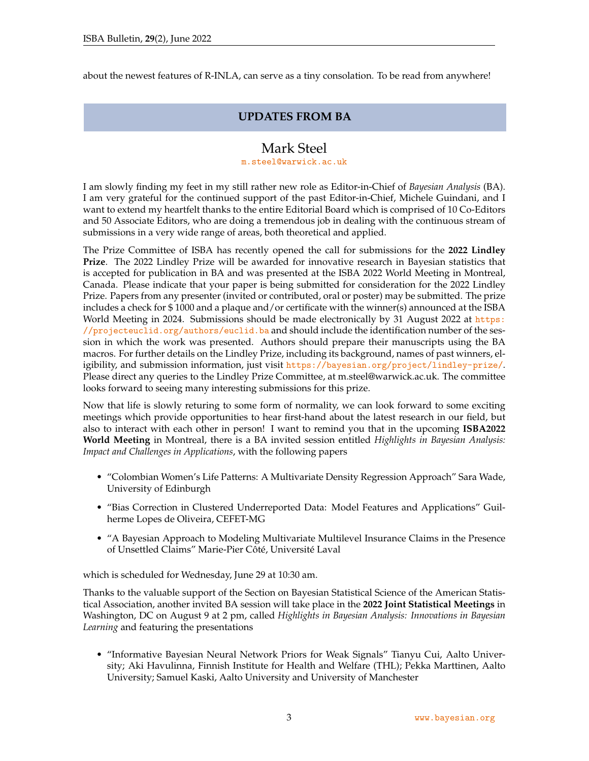<span id="page-2-0"></span>about the newest features of R-INLA, can serve as a tiny consolation. To be read from anywhere!

#### **UPDATES FROM BA**

## Mark Steel

#### [m.steel@warwick.ac.uk](mailto:m.steel@warwick.ac.uk)

I am slowly finding my feet in my still rather new role as Editor-in-Chief of *Bayesian Analysis* (BA). I am very grateful for the continued support of the past Editor-in-Chief, Michele Guindani, and I want to extend my heartfelt thanks to the entire Editorial Board which is comprised of 10 Co-Editors and 50 Associate Editors, who are doing a tremendous job in dealing with the continuous stream of submissions in a very wide range of areas, both theoretical and applied.

The Prize Committee of ISBA has recently opened the call for submissions for the **2022 Lindley Prize**. The 2022 Lindley Prize will be awarded for innovative research in Bayesian statistics that is accepted for publication in BA and was presented at the ISBA 2022 World Meeting in Montreal, Canada. Please indicate that your paper is being submitted for consideration for the 2022 Lindley Prize. Papers from any presenter (invited or contributed, oral or poster) may be submitted. The prize includes a check for \$ 1000 and a plaque and/or certificate with the winner(s) announced at the ISBA World Meeting in 2024. Submissions should be made electronically by 31 August 2022 at [https:](https://projecteuclid.org/authors/euclid.ba) [//projecteuclid.org/authors/euclid.ba](https://projecteuclid.org/authors/euclid.ba) and should include the identification number of the session in which the work was presented. Authors should prepare their manuscripts using the BA macros. For further details on the Lindley Prize, including its background, names of past winners, eligibility, and submission information, just visit <https://bayesian.org/project/lindley-prize/>. Please direct any queries to the Lindley Prize Committee, at m.steel@warwick.ac.uk. The committee looks forward to seeing many interesting submissions for this prize.

Now that life is slowly returing to some form of normality, we can look forward to some exciting meetings which provide opportunities to hear first-hand about the latest research in our field, but also to interact with each other in person! I want to remind you that in the upcoming **ISBA2022 World Meeting** in Montreal, there is a BA invited session entitled *Highlights in Bayesian Analysis: Impact and Challenges in Applications*, with the following papers

- "Colombian Women's Life Patterns: A Multivariate Density Regression Approach" Sara Wade, University of Edinburgh
- "Bias Correction in Clustered Underreported Data: Model Features and Applications" Guilherme Lopes de Oliveira, CEFET-MG
- "A Bayesian Approach to Modeling Multivariate Multilevel Insurance Claims in the Presence of Unsettled Claims" Marie-Pier Côté, Université Laval

which is scheduled for Wednesday, June 29 at 10:30 am.

Thanks to the valuable support of the Section on Bayesian Statistical Science of the American Statistical Association, another invited BA session will take place in the **2022 Joint Statistical Meetings** in Washington, DC on August 9 at 2 pm, called *Highlights in Bayesian Analysis: Innovations in Bayesian Learning* and featuring the presentations

• "Informative Bayesian Neural Network Priors for Weak Signals" Tianyu Cui, Aalto University; Aki Havulinna, Finnish Institute for Health and Welfare (THL); Pekka Marttinen, Aalto University; Samuel Kaski, Aalto University and University of Manchester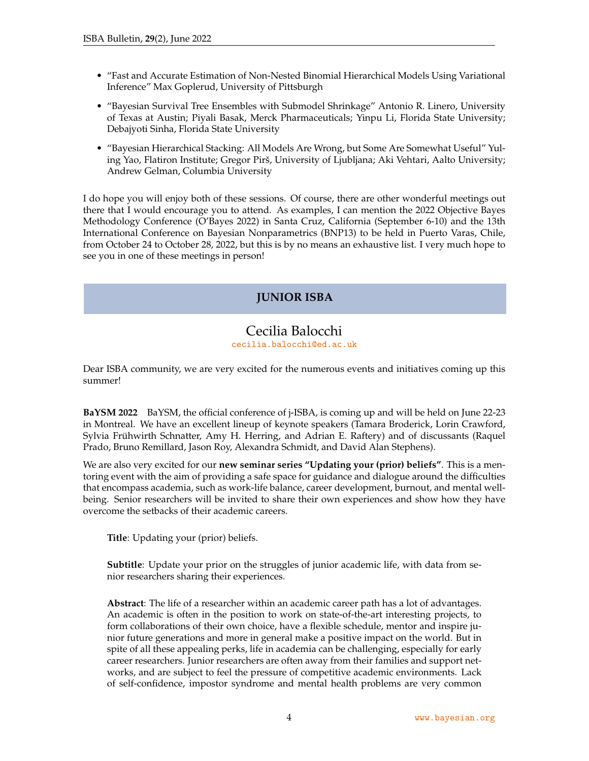- "Fast and Accurate Estimation of Non-Nested Binomial Hierarchical Models Using Variational Inference" Max Goplerud, University of Pittsburgh
- "Bayesian Survival Tree Ensembles with Submodel Shrinkage" Antonio R. Linero, University of Texas at Austin; Piyali Basak, Merck Pharmaceuticals; Yinpu Li, Florida State University; Debajyoti Sinha, Florida State University
- "Bayesian Hierarchical Stacking: All Models Are Wrong, but Some Are Somewhat Useful" Yuling Yao, Flatiron Institute; Gregor Pirš, University of Ljubljana; Aki Vehtari, Aalto University; Andrew Gelman, Columbia University

<span id="page-3-0"></span>I do hope you will enjoy both of these sessions. Of course, there are other wonderful meetings out there that I would encourage you to attend. As examples, I can mention the 2022 Objective Bayes Methodology Conference (O'Bayes 2022) in Santa Cruz, California (September 6-10) and the 13th International Conference on Bayesian Nonparametrics (BNP13) to be held in Puerto Varas, Chile, from October 24 to October 28, 2022, but this is by no means an exhaustive list. I very much hope to see you in one of these meetings in person!

## **JUNIOR ISBA**

#### Cecilia Balocchi [cecilia.balocchi@ed.ac.uk](mailto:cecilia.balocchi@ed.ac.uk)

Dear ISBA community, we are very excited for the numerous events and initiatives coming up this summer!

**BaYSM 2022** BaYSM, the official conference of j-ISBA, is coming up and will be held on June 22-23 in Montreal. We have an excellent lineup of keynote speakers (Tamara Broderick, Lorin Crawford, Sylvia Frühwirth Schnatter, Amy H. Herring, and Adrian E. Raftery) and of discussants (Raquel Prado, Bruno Remillard, Jason Roy, Alexandra Schmidt, and David Alan Stephens).

We are also very excited for our **new seminar series "Updating your (prior) beliefs"**. This is a mentoring event with the aim of providing a safe space for guidance and dialogue around the difficulties that encompass academia, such as work-life balance, career development, burnout, and mental wellbeing. Senior researchers will be invited to share their own experiences and show how they have overcome the setbacks of their academic careers.

**Title**: Updating your (prior) beliefs.

**Subtitle**: Update your prior on the struggles of junior academic life, with data from senior researchers sharing their experiences.

**Abstract**: The life of a researcher within an academic career path has a lot of advantages. An academic is often in the position to work on state-of-the-art interesting projects, to form collaborations of their own choice, have a flexible schedule, mentor and inspire junior future generations and more in general make a positive impact on the world. But in spite of all these appealing perks, life in academia can be challenging, especially for early career researchers. Junior researchers are often away from their families and support networks, and are subject to feel the pressure of competitive academic environments. Lack of self-confidence, impostor syndrome and mental health problems are very common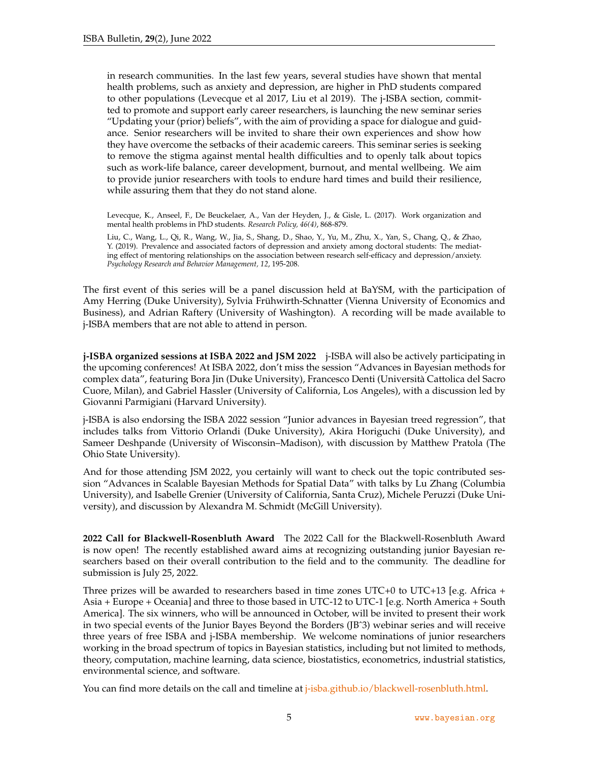in research communities. In the last few years, several studies have shown that mental health problems, such as anxiety and depression, are higher in PhD students compared to other populations (Levecque et al 2017, Liu et al 2019). The j-ISBA section, committed to promote and support early career researchers, is launching the new seminar series "Updating your (prior) beliefs", with the aim of providing a space for dialogue and guidance. Senior researchers will be invited to share their own experiences and show how they have overcome the setbacks of their academic careers. This seminar series is seeking to remove the stigma against mental health difficulties and to openly talk about topics such as work-life balance, career development, burnout, and mental wellbeing. We aim to provide junior researchers with tools to endure hard times and build their resilience, while assuring them that they do not stand alone.

Levecque, K., Anseel, F., De Beuckelaer, A., Van der Heyden, J., & Gisle, L. (2017). Work organization and mental health problems in PhD students. *Research Policy, 46(4)*, 868-879.

Liu, C., Wang, L., Qi, R., Wang, W., Jia, S., Shang, D., Shao, Y., Yu, M., Zhu, X., Yan, S., Chang, Q., & Zhao, Y. (2019). Prevalence and associated factors of depression and anxiety among doctoral students: The mediating effect of mentoring relationships on the association between research self-efficacy and depression/anxiety. *Psychology Research and Behavior Management, 12*, 195-208.

The first event of this series will be a panel discussion held at BaYSM, with the participation of Amy Herring (Duke University), Sylvia Fruhwirth-Schnatter (Vienna University of Economics and ¨ Business), and Adrian Raftery (University of Washington). A recording will be made available to j-ISBA members that are not able to attend in person.

**j-ISBA organized sessions at ISBA 2022 and JSM 2022** j-ISBA will also be actively participating in the upcoming conferences! At ISBA 2022, don't miss the session "Advances in Bayesian methods for complex data", featuring Bora Jin (Duke University), Francesco Denti (Universita Cattolica del Sacro ` Cuore, Milan), and Gabriel Hassler (University of California, Los Angeles), with a discussion led by Giovanni Parmigiani (Harvard University).

j-ISBA is also endorsing the ISBA 2022 session "Junior advances in Bayesian treed regression", that includes talks from Vittorio Orlandi (Duke University), Akira Horiguchi (Duke University), and Sameer Deshpande (University of Wisconsin–Madison), with discussion by Matthew Pratola (The Ohio State University).

And for those attending JSM 2022, you certainly will want to check out the topic contributed session "Advances in Scalable Bayesian Methods for Spatial Data" with talks by Lu Zhang (Columbia University), and Isabelle Grenier (University of California, Santa Cruz), Michele Peruzzi (Duke University), and discussion by Alexandra M. Schmidt (McGill University).

**2022 Call for Blackwell-Rosenbluth Award** The 2022 Call for the Blackwell-Rosenbluth Award is now open! The recently established award aims at recognizing outstanding junior Bayesian researchers based on their overall contribution to the field and to the community. The deadline for submission is July 25, 2022.

Three prizes will be awarded to researchers based in time zones UTC+0 to UTC+13 [e.g. Africa + Asia + Europe + Oceania] and three to those based in UTC-12 to UTC-1 [e.g. North America + South America]. The six winners, who will be announced in October, will be invited to present their work in two special events of the Junior Bayes Beyond the Borders (JBˆ3) webinar series and will receive three years of free ISBA and j-ISBA membership. We welcome nominations of junior researchers working in the broad spectrum of topics in Bayesian statistics, including but not limited to methods, theory, computation, machine learning, data science, biostatistics, econometrics, industrial statistics, environmental science, and software.

You can find more details on the call and timeline at *j*-isba.github.io/blackwell-rosenbluth.html.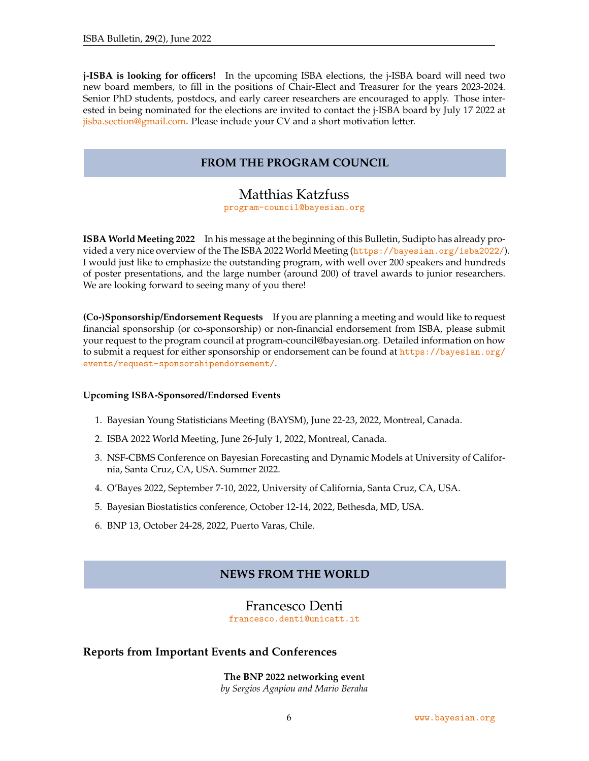<span id="page-5-0"></span>**j-ISBA is looking for officers!** In the upcoming ISBA elections, the j-ISBA board will need two new board members, to fill in the positions of Chair-Elect and Treasurer for the years 2023-2024. Senior PhD students, postdocs, and early career researchers are encouraged to apply. Those interested in being nominated for the elections are invited to contact the j-ISBA board by July 17 2022 at [jisba.section@gmail.com.](mailto:jisba.section@gmail.com) Please include your CV and a short motivation letter.

#### **FROM THE PROGRAM COUNCIL**

# Matthias Katzfuss

[program-council@bayesian.org](mailto:program-council@bayesian.org)

**ISBA World Meeting 2022** In his message at the beginning of this Bulletin, Sudipto has already provided a very nice overview of the The ISBA 2022 World Meeting (<https://bayesian.org/isba2022/>). I would just like to emphasize the outstanding program, with well over 200 speakers and hundreds of poster presentations, and the large number (around 200) of travel awards to junior researchers. We are looking forward to seeing many of you there!

**(Co-)Sponsorship/Endorsement Requests** If you are planning a meeting and would like to request financial sponsorship (or co-sponsorship) or non-financial endorsement from ISBA, please submit your request to the program council at program-council@bayesian.org. Detailed information on how to submit a request for either sponsorship or endorsement can be found at [https://bayesian.org/](https://bayesian.org/events/request-sponsorshipendorsement/) [events/request-sponsorshipendorsement/](https://bayesian.org/events/request-sponsorshipendorsement/).

#### **Upcoming ISBA-Sponsored/Endorsed Events**

- 1. Bayesian Young Statisticians Meeting (BAYSM), June 22-23, 2022, Montreal, Canada.
- 2. ISBA 2022 World Meeting, June 26-July 1, 2022, Montreal, Canada.
- 3. NSF-CBMS Conference on Bayesian Forecasting and Dynamic Models at University of California, Santa Cruz, CA, USA. Summer 2022.
- 4. O'Bayes 2022, September 7-10, 2022, University of California, Santa Cruz, CA, USA.
- 5. Bayesian Biostatistics conference, October 12-14, 2022, Bethesda, MD, USA.
- <span id="page-5-1"></span>6. BNP 13, October 24-28, 2022, Puerto Varas, Chile.

#### **NEWS FROM THE WORLD**

#### Francesco Denti

[francesco.denti@unicatt.it](mailto:francesco.denti@unicatt.it)

#### **Reports from Important Events and Conferences**

**The BNP 2022 networking event** *by Sergios Agapiou and Mario Beraha*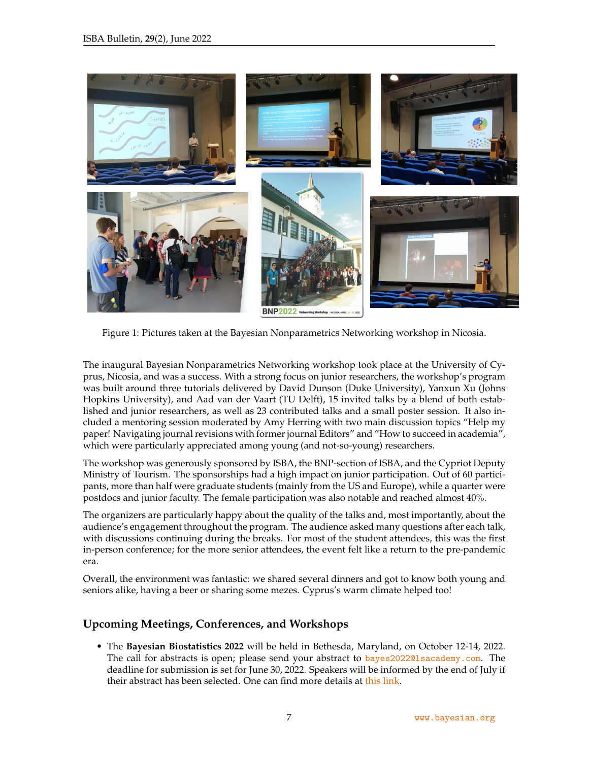

Figure 1: Pictures taken at the Bayesian Nonparametrics Networking workshop in Nicosia.

The inaugural Bayesian Nonparametrics Networking workshop took place at the University of Cyprus, Nicosia, and was a success. With a strong focus on junior researchers, the workshop's program was built around three tutorials delivered by David Dunson (Duke University), Yanxun Xu (Johns Hopkins University), and Aad van der Vaart (TU Delft), 15 invited talks by a blend of both established and junior researchers, as well as 23 contributed talks and a small poster session. It also included a mentoring session moderated by Amy Herring with two main discussion topics "Help my paper! Navigating journal revisions with former journal Editors" and "How to succeed in academia", which were particularly appreciated among young (and not-so-young) researchers.

The workshop was generously sponsored by ISBA, the BNP-section of ISBA, and the Cypriot Deputy Ministry of Tourism. The sponsorships had a high impact on junior participation. Out of 60 participants, more than half were graduate students (mainly from the US and Europe), while a quarter were postdocs and junior faculty. The female participation was also notable and reached almost 40%.

The organizers are particularly happy about the quality of the talks and, most importantly, about the audience's engagement throughout the program. The audience asked many questions after each talk, with discussions continuing during the breaks. For most of the student attendees, this was the first in-person conference; for the more senior attendees, the event felt like a return to the pre-pandemic era.

Overall, the environment was fantastic: we shared several dinners and got to know both young and seniors alike, having a beer or sharing some mezes. Cyprus's warm climate helped too!

#### **Upcoming Meetings, Conferences, and Workshops**

• The **Bayesian Biostatistics 2022** will be held in Bethesda, Maryland, on October 12-14, 2022. The call for abstracts is open; please send your abstract to [bayes2022@lsacademy.com](mailto:bayes2022@lsacademy.com). The deadline for submission is set for June 30, 2022. Speakers will be informed by the end of July if their abstract has been selected. One can find more details at [this link.](https://bayes-pharma.org/abstract/)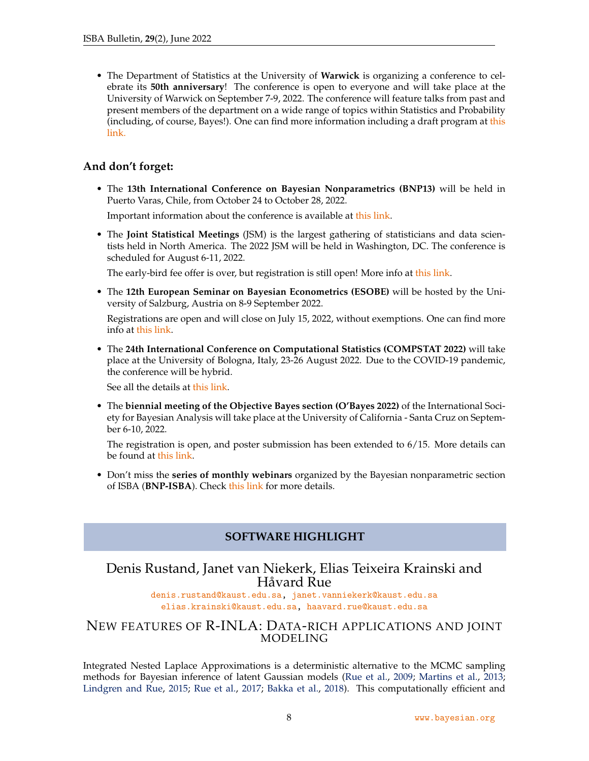• The Department of Statistics at the University of **Warwick** is organizing a conference to celebrate its **50th anniversary**! The conference is open to everyone and will take place at the University of Warwick on September 7-9, 2022. The conference will feature talks from past and present members of the department on a wide range of topics within Statistics and Probability (including, of course, Bayes!). One can find more information including a draft program at [this](https://warwick.ac.uk/fac/sci/statistics/news/stats50celebrations/conference) [link.](https://warwick.ac.uk/fac/sci/statistics/news/stats50celebrations/conference)

#### **And don't forget:**

• The **13th International Conference on Bayesian Nonparametrics (BNP13)** will be held in Puerto Varas, Chile, from October 24 to October 28, 2022.

Important information about the conference is available at [this link.](https://midas.mat.uc.cl/bnp13/)

• The **Joint Statistical Meetings** (JSM) is the largest gathering of statisticians and data scientists held in North America. The 2022 JSM will be held in Washington, DC. The conference is scheduled for August 6-11, 2022.

The early-bird fee offer is over, but registration is still open! More info at [this link.](https://ww2.amstat.org/meetings/jsm/2022/conferenceinfo.cfm)

• The **12th European Seminar on Bayesian Econometrics (ESOBE)** will be hosted by the University of Salzburg, Austria on 8-9 September 2022.

Registrations are open and will close on July 15, 2022, without exemptions. One can find more info at [this link.](https://sites.google.com/view/esobe2022salzburg)

• The **24th International Conference on Computational Statistics (COMPSTAT 2022)** will take place at the University of Bologna, Italy, 23-26 August 2022. Due to the COVID-19 pandemic, the conference will be hybrid.

See all the details at [this link.](http://www.compstat2022.org)

• The **biennial meeting of the Objective Bayes section (O'Bayes 2022)** of the International Society for Bayesian Analysis will take place at the University of California - Santa Cruz on September 6-10, 2022.

The registration is open, and poster submission has been extended to 6/15. More details can be found at [this link.](https://obayes.soe.ucsc.edu)

<span id="page-7-0"></span>• Don't miss the **series of monthly webinars** organized by the Bayesian nonparametric section of ISBA (**BNP-ISBA**). Check [this link](https://bnp-isba.github.io/webinars.html) for more details.

## **SOFTWARE HIGHLIGHT**

### Denis Rustand, Janet van Niekerk, Elias Teixeira Krainski and Håvard Rue

[denis.rustand@kaust.edu.sa,](mailto:denis.rustand@kaust.edu.sa) [janet.vanniekerk@kaust.edu.sa](mailto:janet.vanniekerk@kaust.edu.sa) [elias.krainski@kaust.edu.sa,](mailto:elias.krainski@kaust.edu.sa) [haavard.rue@kaust.edu.sa](mailto:haavard.rue@kaust.edu.sa )

#### NEW FEATURES OF R-INLA: DATA-RICH APPLICATIONS AND JOINT MODELING

Integrated Nested Laplace Approximations is a deterministic alternative to the MCMC sampling methods for Bayesian inference of latent Gaussian models [\(Rue et al.,](#page-12-0) [2009;](#page-12-0) [Martins et al.,](#page-12-1) [2013;](#page-12-1) [Lindgren and Rue,](#page-12-2) [2015;](#page-12-2) [Rue et al.,](#page-12-3) [2017;](#page-12-3) [Bakka et al.,](#page-11-0) [2018\)](#page-11-0). This computationally efficient and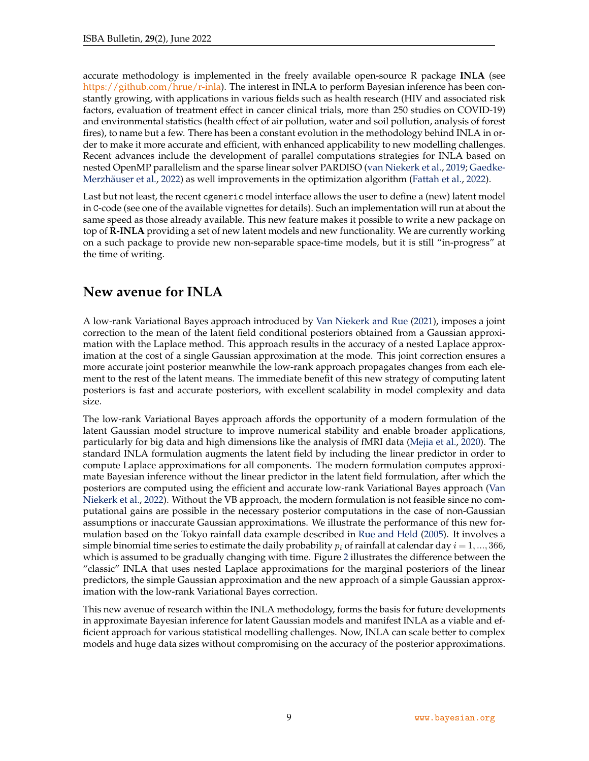accurate methodology is implemented in the freely available open-source R package **INLA** (see [https://github.com/hrue/r-inla\)](https://github.com/hrue/r-inla). The interest in INLA to perform Bayesian inference has been constantly growing, with applications in various fields such as health research (HIV and associated risk factors, evaluation of treatment effect in cancer clinical trials, more than 250 studies on COVID-19) and environmental statistics (health effect of air pollution, water and soil pollution, analysis of forest fires), to name but a few. There has been a constant evolution in the methodology behind INLA in order to make it more accurate and efficient, with enhanced applicability to new modelling challenges. Recent advances include the development of parallel computations strategies for INLA based on nested OpenMP parallelism and the sparse linear solver PARDISO [\(van Niekerk et al.,](#page-12-4) [2019;](#page-12-4) [Gaedke-](#page-12-5)Merzhäuser et al., [2022\)](#page-12-6) as well improvements in the optimization algorithm [\(Fattah et al.,](#page-12-6) 2022).

Last but not least, the recent cgeneric model interface allows the user to define a (new) latent model in C-code (see one of the available vignettes for details). Such an implementation will run at about the same speed as those already available. This new feature makes it possible to write a new package on top of **R-INLA** providing a set of new latent models and new functionality. We are currently working on a such package to provide new non-separable space-time models, but it is still "in-progress" at the time of writing.

# **New avenue for INLA**

A low-rank Variational Bayes approach introduced by [Van Niekerk and Rue](#page-13-0) [\(2021\)](#page-13-0), imposes a joint correction to the mean of the latent field conditional posteriors obtained from a Gaussian approximation with the Laplace method. This approach results in the accuracy of a nested Laplace approximation at the cost of a single Gaussian approximation at the mode. This joint correction ensures a more accurate joint posterior meanwhile the low-rank approach propagates changes from each element to the rest of the latent means. The immediate benefit of this new strategy of computing latent posteriors is fast and accurate posteriors, with excellent scalability in model complexity and data size.

The low-rank Variational Bayes approach affords the opportunity of a modern formulation of the latent Gaussian model structure to improve numerical stability and enable broader applications, particularly for big data and high dimensions like the analysis of fMRI data [\(Mejia et al.,](#page-12-7) [2020\)](#page-12-7). The standard INLA formulation augments the latent field by including the linear predictor in order to compute Laplace approximations for all components. The modern formulation computes approximate Bayesian inference without the linear predictor in the latent field formulation, after which the posteriors are computed using the efficient and accurate low-rank Variational Bayes approach [\(Van](#page-13-1) [Niekerk et al.,](#page-13-1) [2022\)](#page-13-1). Without the VB approach, the modern formulation is not feasible since no computational gains are possible in the necessary posterior computations in the case of non-Gaussian assumptions or inaccurate Gaussian approximations. We illustrate the performance of this new formulation based on the Tokyo rainfall data example described in [Rue and Held](#page-12-8) [\(2005\)](#page-12-8). It involves a simple binomial time series to estimate the daily probability  $p_i$  of rainfall at calendar day  $i = 1, ..., 366$ , which is assumed to be gradually changing with time. Figure [2](#page-9-0) illustrates the difference between the "classic" INLA that uses nested Laplace approximations for the marginal posteriors of the linear predictors, the simple Gaussian approximation and the new approach of a simple Gaussian approximation with the low-rank Variational Bayes correction.

This new avenue of research within the INLA methodology, forms the basis for future developments in approximate Bayesian inference for latent Gaussian models and manifest INLA as a viable and efficient approach for various statistical modelling challenges. Now, INLA can scale better to complex models and huge data sizes without compromising on the accuracy of the posterior approximations.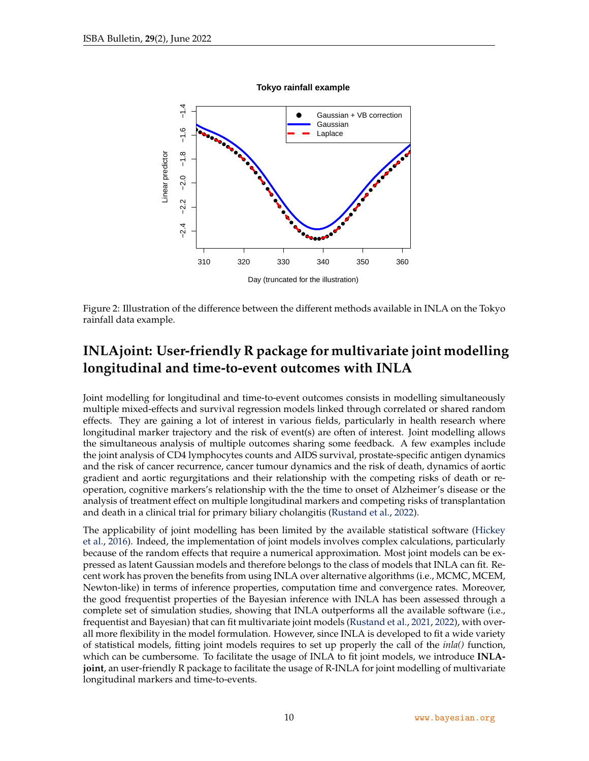<span id="page-9-0"></span>

**Tokyo rainfall example**

Figure 2: Illustration of the difference between the different methods available in INLA on the Tokyo rainfall data example.

# **INLAjoint: User-friendly R package for multivariate joint modelling longitudinal and time-to-event outcomes with INLA**

Joint modelling for longitudinal and time-to-event outcomes consists in modelling simultaneously multiple mixed-effects and survival regression models linked through correlated or shared random effects. They are gaining a lot of interest in various fields, particularly in health research where longitudinal marker trajectory and the risk of event(s) are often of interest. Joint modelling allows the simultaneous analysis of multiple outcomes sharing some feedback. A few examples include the joint analysis of CD4 lymphocytes counts and AIDS survival, prostate-specific antigen dynamics and the risk of cancer recurrence, cancer tumour dynamics and the risk of death, dynamics of aortic gradient and aortic regurgitations and their relationship with the competing risks of death or reoperation, cognitive markers's relationship with the the time to onset of Alzheimer's disease or the analysis of treatment effect on multiple longitudinal markers and competing risks of transplantation and death in a clinical trial for primary biliary cholangitis [\(Rustand et al.,](#page-12-9) [2022\)](#page-12-9).

The applicability of joint modelling has been limited by the available statistical software [\(Hickey](#page-12-10) [et al.,](#page-12-10) [2016\)](#page-12-10). Indeed, the implementation of joint models involves complex calculations, particularly because of the random effects that require a numerical approximation. Most joint models can be expressed as latent Gaussian models and therefore belongs to the class of models that INLA can fit. Recent work has proven the benefits from using INLA over alternative algorithms (i.e., MCMC, MCEM, Newton-like) in terms of inference properties, computation time and convergence rates. Moreover, the good frequentist properties of the Bayesian inference with INLA has been assessed through a complete set of simulation studies, showing that INLA outperforms all the available software (i.e., frequentist and Bayesian) that can fit multivariate joint models [\(Rustand et al.,](#page-12-11) [2021,](#page-12-11) [2022\)](#page-12-9), with overall more flexibility in the model formulation. However, since INLA is developed to fit a wide variety of statistical models, fitting joint models requires to set up properly the call of the *inla()* function, which can be cumbersome. To facilitate the usage of INLA to fit joint models, we introduce **INLAjoint**, an user-friendly R package to facilitate the usage of R-INLA for joint modelling of multivariate longitudinal markers and time-to-events.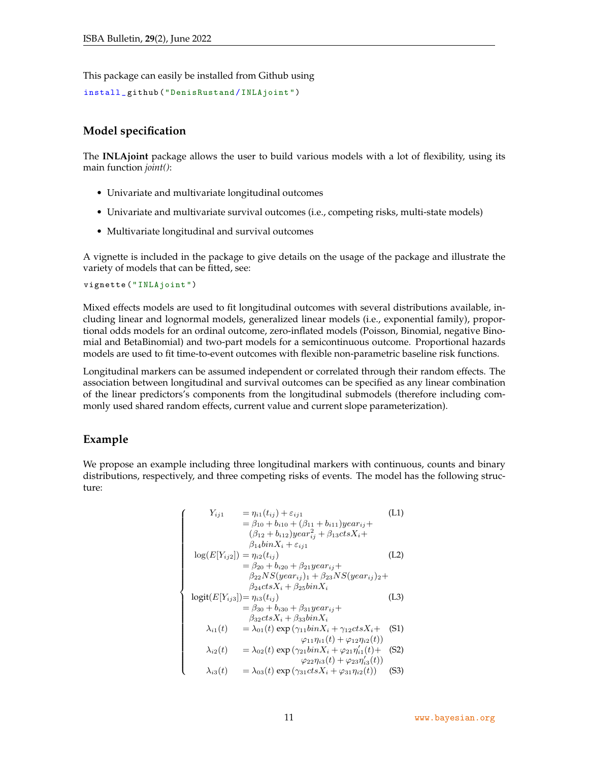This package can easily be installed from Github using

```
install _ github (" DenisRustand / INLAjoint ")
```
#### **Model specification**

The **INLAjoint** package allows the user to build various models with a lot of flexibility, using its main function *joint()*:

- Univariate and multivariate longitudinal outcomes
- Univariate and multivariate survival outcomes (i.e., competing risks, multi-state models)
- Multivariate longitudinal and survival outcomes

A vignette is included in the package to give details on the usage of the package and illustrate the variety of models that can be fitted, see:

vignette (" INLAjoint ")

Mixed effects models are used to fit longitudinal outcomes with several distributions available, including linear and lognormal models, generalized linear models (i.e., exponential family), proportional odds models for an ordinal outcome, zero-inflated models (Poisson, Binomial, negative Binomial and BetaBinomial) and two-part models for a semicontinuous outcome. Proportional hazards models are used to fit time-to-event outcomes with flexible non-parametric baseline risk functions.

Longitudinal markers can be assumed independent or correlated through their random effects. The association between longitudinal and survival outcomes can be specified as any linear combination of the linear predictors's components from the longitudinal submodels (therefore including commonly used shared random effects, current value and current slope parameterization).

#### **Example**

We propose an example including three longitudinal markers with continuous, counts and binary distributions, respectively, and three competing risks of events. The model has the following structure:

$$
\begin{cases}\nY_{ij1} = \eta_{i1}(t_{ij}) + \varepsilon_{ij1} & \text{(L1)} \\
= \beta_{10} + b_{i10} + (\beta_{11} + b_{i11})year_{ij} + \\
(\beta_{12} + b_{i12})year_{ij}^2 + \beta_{13}ctsX_i + \\
\beta_{14}binX_i + \varepsilon_{ij1} & \text{(L2)} \\
= \beta_{20} + b_{i20} + \beta_{21}year_{ij} + \\
\beta_{22}NS(year_{ij})_1 + \beta_{23}NS(year_{ij})_2 + \\
\beta_{24}ctsX_i + \beta_{25}binX_i & \text{(L3)} \\
= \beta_{30} + b_{i30} + \beta_{31}year_{ij} + \\
\beta_{32}ctsX_i + \beta_{33}binX_i & \text{(L3)} \\
= \beta_{30} + b_{30} + \beta_{31}year_{ij} + \\
\beta_{32}ctsX_i + \beta_{33}binX_i & \text{(L1)} \\
\lambda_{i1}(t) = \lambda_{01}(t) \exp(\gamma_{11}binX_i + \gamma_{12}ctsX_i + \text{(S1)} \\
\varphi_{11}\eta_{i1}(t) + \varphi_{12}\eta_{i2}(t) & \text{(S2)} \\
\lambda_{i2}(t) = \lambda_{02}(t) \exp(\gamma_{21}binX_i + \varphi_{21}\eta'_{i1}(t) + \text{(S2)} \\
\varphi_{22}\eta_{i3}(t) + \varphi_{23}\eta'_{i3}(t) & \text{(S3)}\n\end{cases}
$$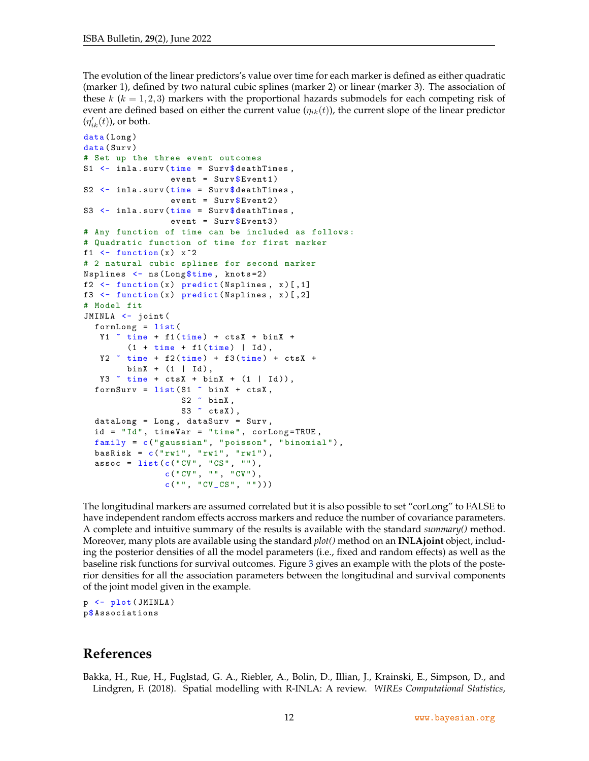The evolution of the linear predictors's value over time for each marker is defined as either quadratic (marker 1), defined by two natural cubic splines (marker 2) or linear (marker 3). The association of these  $k$  ( $k = 1, 2, 3$ ) markers with the proportional hazards submodels for each competing risk of event are defined based on either the current value  $(\eta_{ik}(t))$ , the current slope of the linear predictor  $(\eta_{ik}'(t))$ , or both.

```
data (Long)
data (Surv)
# Set up the three event outcomes
S1 \leftarrow inla.surv (time = Surv $ death Times,
                  event = SurveyEvent1)
S2 <- inla.surv (time = Surv$deathTimes,
                 event = SurveyEvent2)
S3 \leftarrow inla.surv (time = Surv $ death Times,
                 event = SurvEvent3)
# Any function of time can be included as follows :
# Quadratic function of time for first marker
f1 \leftarrow function (x) x^2# 2 natural cubic splines for second marker
Nsplines <- ns ( Long $time , knots =2)
f2 \leftarrow function (x) predict (Nsplines, x) [,1]
f3 \leftarrow function (x) predict (Nsplines, x) [,2]
# Model fit
JMINLA <- joint (
  formLong = list (
   Y1 \tilde{ } time + f1(time) + ctsX + binX +
         (1 + time + f1 (time) | Id),YZ \tilde{ } time + f2(time) + f3(time) + ctsX +
        binX + (1 | Id),
   Y3 \tilde{ } time + ctsX + binX + (1 | Id)),
  formSurv = list(S1 " binX + ctsX,S2 \sim binX,
                    S3 \sim ctsX),
  dataLong = Long , dataSurv = Surv ,
  id = "Id", timeVar = "time", corLong = TRUE,family = c("gaussian", "poisson", "binomial"),bashisk = c("rwl", "rwl", "rwl"),assoc = list(c("CV", "CS", "");c("CV", "", "CV") ,
                 c("", "CV_CSS", ""))
```
The longitudinal markers are assumed correlated but it is also possible to set "corLong" to FALSE to have independent random effects accross markers and reduce the number of covariance parameters. A complete and intuitive summary of the results is available with the standard *summary()* method. Moreover, many plots are available using the standard *plot()* method on an **INLAjoint** object, including the posterior densities of all the model parameters (i.e., fixed and random effects) as well as the baseline risk functions for survival outcomes. Figure [3](#page-12-12) gives an example with the plots of the posterior densities for all the association parameters between the longitudinal and survival components of the joint model given in the example.

p <- plot ( JMINLA ) p\$ Associations

## **References**

<span id="page-11-0"></span>Bakka, H., Rue, H., Fuglstad, G. A., Riebler, A., Bolin, D., Illian, J., Krainski, E., Simpson, D., and Lindgren, F. (2018). Spatial modelling with R-INLA: A review. *WIREs Computational Statistics*,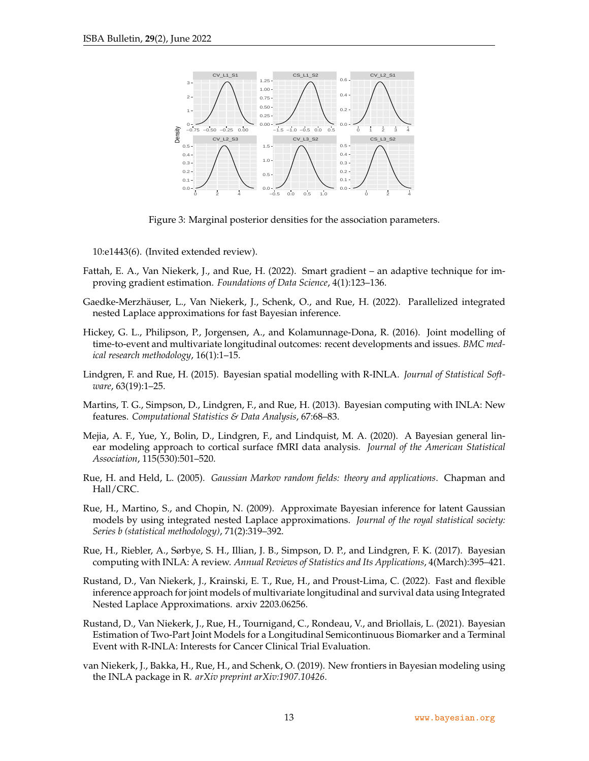<span id="page-12-12"></span>

Figure 3: Marginal posterior densities for the association parameters.

10:e1443(6). (Invited extended review).

- <span id="page-12-6"></span>Fattah, E. A., Van Niekerk, J., and Rue, H. (2022). Smart gradient – an adaptive technique for improving gradient estimation. *Foundations of Data Science*, 4(1):123–136.
- <span id="page-12-5"></span>Gaedke-Merzhäuser, L., Van Niekerk, J., Schenk, O., and Rue, H. (2022). Parallelized integrated nested Laplace approximations for fast Bayesian inference.
- <span id="page-12-10"></span>Hickey, G. L., Philipson, P., Jorgensen, A., and Kolamunnage-Dona, R. (2016). Joint modelling of time-to-event and multivariate longitudinal outcomes: recent developments and issues. *BMC medical research methodology*, 16(1):1–15.
- <span id="page-12-2"></span>Lindgren, F. and Rue, H. (2015). Bayesian spatial modelling with R-INLA. *Journal of Statistical Software*, 63(19):1–25.
- <span id="page-12-1"></span>Martins, T. G., Simpson, D., Lindgren, F., and Rue, H. (2013). Bayesian computing with INLA: New features. *Computational Statistics & Data Analysis*, 67:68–83.
- <span id="page-12-7"></span>Mejia, A. F., Yue, Y., Bolin, D., Lindgren, F., and Lindquist, M. A. (2020). A Bayesian general linear modeling approach to cortical surface fMRI data analysis. *Journal of the American Statistical Association*, 115(530):501–520.
- <span id="page-12-8"></span>Rue, H. and Held, L. (2005). *Gaussian Markov random fields: theory and applications*. Chapman and Hall/CRC.
- <span id="page-12-0"></span>Rue, H., Martino, S., and Chopin, N. (2009). Approximate Bayesian inference for latent Gaussian models by using integrated nested Laplace approximations. *Journal of the royal statistical society: Series b (statistical methodology)*, 71(2):319–392.
- <span id="page-12-3"></span>Rue, H., Riebler, A., Sørbye, S. H., Illian, J. B., Simpson, D. P., and Lindgren, F. K. (2017). Bayesian computing with INLA: A review. *Annual Reviews of Statistics and Its Applications*, 4(March):395–421.
- <span id="page-12-9"></span>Rustand, D., Van Niekerk, J., Krainski, E. T., Rue, H., and Proust-Lima, C. (2022). Fast and flexible inference approach for joint models of multivariate longitudinal and survival data using Integrated Nested Laplace Approximations. arxiv 2203.06256.
- <span id="page-12-11"></span>Rustand, D., Van Niekerk, J., Rue, H., Tournigand, C., Rondeau, V., and Briollais, L. (2021). Bayesian Estimation of Two-Part Joint Models for a Longitudinal Semicontinuous Biomarker and a Terminal Event with R-INLA: Interests for Cancer Clinical Trial Evaluation.
- <span id="page-12-4"></span>van Niekerk, J., Bakka, H., Rue, H., and Schenk, O. (2019). New frontiers in Bayesian modeling using the INLA package in R. *arXiv preprint arXiv:1907.10426*.